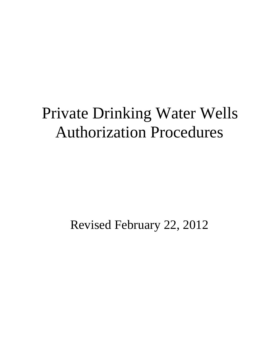# Private Drinking Water Wells Authorization Procedures

Revised February 22, 2012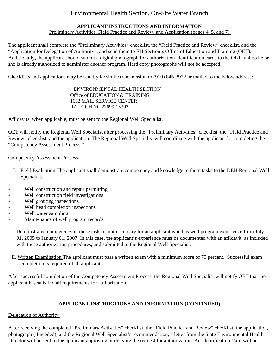# Environmental Health Section, On-Site Water Branch

#### **APPLICANT INSTRUCTIONS AND INFORMATION**  Preliminary Activities, Field Practice and Review, and Application (pages 4, 5, and 7)

The applicant shall complete the "Preliminary Activities" checklist, the "Field Practice and Review" checklist, and the "Application for Delegation of Authority", and send them to EH Section's Office of Education and Training (OET). Additionally, the applicant should submit a digital photograph for authorization identification cards to the OET, unless he or she is already authorized to administer another program. Hard copy photographs will not be accepted.

Checklists and applications may be sent by facsimile transmission to (919) 845-3972 or mailed to the below address:

#### ENVIRONMENTAL HEALTH SECTION Office of EDUCATION & TRAINING 1632 MAIL SERVICE CENTER RALEIGH NC 27699-16302

Affidavits, when applicable, must be sent to the Regional Well Specialist.

OET will notify the Regional Well Specialist after processing the "Preliminary Activities" checklist, the "Field Practice and Review" checklist, and the application. The Regional Well Specialist will coordinate with the applicant for completing the "Competency Assessment Process."

#### Competency Assessment Process

- I. Field Evaluation The applicant shall demonstrate competency and knowledge in these tasks to the DEH Regional Well Specialist:
- Well construction and repair permitting
- Well construction field investigations
- Well grouting inspections
- Well head completion inspections
- Well water sampling
- Maintenance of well program records

Demonstrated competency in these tasks is not necessary for an applicant who has well program experience from July 01, 2005 to January 01, 2007. In this case, the applicant's experience must be documented with an affidavit, as included with these authorization procedures, and submitted to the Regional Well Specialist.

II. Written Examination The applicant must pass a written exam with a minimum score of 70 percent. Successful exam completion is required of all applicants.

After successful completion of the Competency Assessment Process, the Regional Well Specialist will notify OET that the applicant has satisfied all requirements for authorization.

### **APPLICANT INSTRUCTIONS AND INFORMATION (CONTINUED)**

#### Delegation of Authority

After receiving the completed "Preliminary Activities" checklist, the "Field Practice and Review" checklist, the application, photograph (if needed), and the Regional Well Specialist's recommendation, a letter from the State Environmental Health Director will be sent to the applicant approving or denying the request for authorization. An Identification Card will be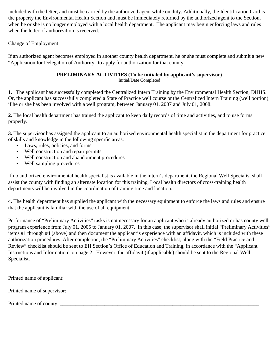included with the letter, and must be carried by the authorized agent while on duty. Additionally, the Identification Card is the property the Environmental Health Section and must be immediately returned by the authorized agent to the Section, when he or she is no longer employed with a local health department. The applicant may begin enforcing laws and rules when the letter of authorization is received.

## Change of Employment

If an authorized agent becomes employed in another county health department, he or she must complete and submit a new "Application for Delegation of Authority" to apply for authorization for that county.

## **PRELIMINARY ACTIVITIES (To be initialed by applicant's supervisor)**

Initial/Date Completed

**1.** The applicant has successfully completed the Centralized Intern Training by the Environmental Health Section, DHHS. Or, the applicant has successfully completed a State of Practice well course or the Centralized Intern Training (well portion), if he or she has been involved with a well program, between January 01, 2007 and July 01, 2008.

**2.** The local health department has trained the applicant to keep daily records of time and activities, and to use forms properly.

**3.** The supervisor has assigned the applicant to an authorized environmental health specialist in the department for practice of skills and knowledge in the following specific areas:

- Laws, rules, policies, and forms
- Well construction and repair permits
- Well construction and abandonment procedures
- Well sampling procedures

If no authorized environmental health specialist is available in the intern's department, the Regional Well Specialist shall assist the county with finding an alternate location for this training. Local health directors of cross-training health departments will be involved in the coordination of training time and location.

**4.** The health department has supplied the applicant with the necessary equipment to enforce the laws and rules and ensure that the applicant is familiar with the use of all equipment.

Performance of "Preliminary Activities" tasks is not necessary for an applicant who is already authorized or has county well program experience from July 01, 2005 to January 01, 2007. In this case, the supervisor shall initial "Preliminary Activities" items #1 through #4 (above) and then document the applicant's experience with an affidavit, which is included with these authorization procedures. After completion, the "Preliminary Activities" checklist, along with the "Field Practice and Review" checklist should be sent to EH Section's Office of Education and Training, in accordance with the "Applicant Instructions and Information" on page 2. However, the affidavit (if applicable) should be sent to the Regional Well Specialist.

| Printed name of applicant: |  |
|----------------------------|--|
|                            |  |
| Printed name of county:    |  |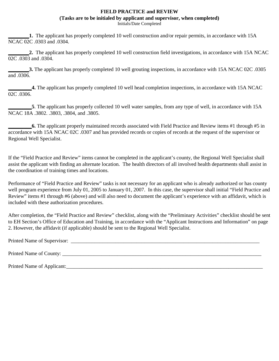#### **FIELD PRACTICE and REVIEW**

**(Tasks are to be initialed by applicant and supervisor, when completed)** 

Initials/Date Completed

**1.** The applicant has properly completed 10 well construction and/or repair permits, in accordance with 15A NCAC 02C .0303 and .0304.

**\_\_\_\_\_\_\_\_2.** The applicant has properly completed 10 well construction field investigations, in accordance with 15A NCAC  $\overline{02C}$  .0303 and .0304.

**3.** The applicant has properly completed 10 well grouting inspections, in accordance with 15A NCAC 02C .0305 and .0306.

**\_\_\_\_\_\_\_\_\_4.** The applicant has properly completed 10 well head completion inspections, in accordance with 15A NCAC  $02C_0$   $0306$ .

**5**. The applicant has properly collected 10 well water samples, from any type of well, in accordance with 15A NCAC 18A .3802. .3803, .3804, and .3805.

**6.** The applicant properly maintained records associated with Field Practice and Review items #1 through #5 in accordance with 15A NCAC 02C .0307 and has provided records or copies of records at the request of the supervisor or Regional Well Specialist.

If the "Field Practice and Review" items cannot be completed in the applicant's county, the Regional Well Specialist shall assist the applicant with finding an alternate location. The health directors of all involved health departments shall assist in the coordination of training times and locations.

Performance of "Field Practice and Review" tasks is not necessary for an applicant who is already authorized or has county well program experience from July 01, 2005 to January 01, 2007. In this case, the supervisor shall initial "Field Practice and Review" items #1 through #6 (above) and will also need to document the applicant's experience with an affidavit, which is included with these authorization procedures.

After completion, the "Field Practice and Review" checklist, along with the "Preliminary Activities" checklist should be sent to EH Section's Office of Education and Training, in accordance with the "Applicant Instructions and Information" on page 2. However, the affidavit (if applicable) should be sent to the Regional Well Specialist.

Printed Name of Supervisor: \_\_\_\_\_\_\_\_\_\_\_\_\_\_\_\_\_\_\_\_\_\_\_\_\_\_\_\_\_\_\_\_\_\_\_\_\_\_\_\_\_\_\_\_\_\_\_\_\_\_\_\_\_\_\_\_\_\_\_\_\_\_\_\_\_\_\_\_\_\_\_\_

Printed Name of County: \_\_\_\_\_\_\_\_\_\_\_\_\_\_\_\_\_\_\_\_\_\_\_\_\_\_\_\_\_\_\_\_\_\_\_\_\_\_\_\_\_\_\_\_\_\_\_\_\_\_\_\_\_\_\_\_\_\_\_\_\_\_\_\_\_\_\_\_\_\_\_\_\_\_\_\_

Printed Name of Applicant: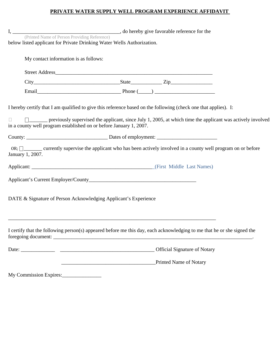## **PRIVATE WATER SUPPLY WELL PROGRAM EXPERIENCE AFFIDAVIT**

| below listed applicant for Private Drinking Water Wells Authorization.       |                                                                                                                                                |  |  |  |  |  |  |
|------------------------------------------------------------------------------|------------------------------------------------------------------------------------------------------------------------------------------------|--|--|--|--|--|--|
| My contact information is as follows:                                        |                                                                                                                                                |  |  |  |  |  |  |
|                                                                              |                                                                                                                                                |  |  |  |  |  |  |
|                                                                              |                                                                                                                                                |  |  |  |  |  |  |
|                                                                              |                                                                                                                                                |  |  |  |  |  |  |
|                                                                              | I hereby certify that I am qualified to give this reference based on the following (check one that applies). I:                                |  |  |  |  |  |  |
| $\Box$<br>in a county well program established on or before January 1, 2007. | □ previously supervised the applicant, since July 1, 2005, at which time the applicant was actively involved                                   |  |  |  |  |  |  |
|                                                                              |                                                                                                                                                |  |  |  |  |  |  |
| January 1, 2007.                                                             | OR; $\Box$ currently supervise the applicant who has been actively involved in a county well program on or before                              |  |  |  |  |  |  |
|                                                                              |                                                                                                                                                |  |  |  |  |  |  |
|                                                                              |                                                                                                                                                |  |  |  |  |  |  |
| DATE & Signature of Person Acknowledging Applicant's Experience              |                                                                                                                                                |  |  |  |  |  |  |
|                                                                              | I certify that the following person(s) appeared before me this day, each acknowledging to me that he or she signed the                         |  |  |  |  |  |  |
|                                                                              |                                                                                                                                                |  |  |  |  |  |  |
|                                                                              | Printed Name of Notary<br><u> Alexandria de la contrada de la contrada de la contrada de la contrada de la contrada de la contrada de la c</u> |  |  |  |  |  |  |
| My Commission Expires:                                                       |                                                                                                                                                |  |  |  |  |  |  |